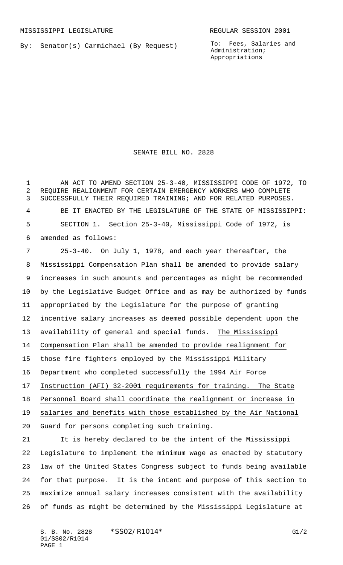By: Senator(s) Carmichael (By Request)

To: Fees, Salaries and Administration; Appropriations

## SENATE BILL NO. 2828

 AN ACT TO AMEND SECTION 25-3-40, MISSISSIPPI CODE OF 1972, TO REQUIRE REALIGNMENT FOR CERTAIN EMERGENCY WORKERS WHO COMPLETE SUCCESSFULLY THEIR REQUIRED TRAINING; AND FOR RELATED PURPOSES. BE IT ENACTED BY THE LEGISLATURE OF THE STATE OF MISSISSIPPI: SECTION 1. Section 25-3-40, Mississippi Code of 1972, is amended as follows:

 25-3-40. On July 1, 1978, and each year thereafter, the Mississippi Compensation Plan shall be amended to provide salary increases in such amounts and percentages as might be recommended by the Legislative Budget Office and as may be authorized by funds appropriated by the Legislature for the purpose of granting incentive salary increases as deemed possible dependent upon the 13 availability of general and special funds. The Mississippi Compensation Plan shall be amended to provide realignment for those fire fighters employed by the Mississippi Military Department who completed successfully the 1994 Air Force Instruction (AFI) 32-2001 requirements for training. The State Personnel Board shall coordinate the realignment or increase in salaries and benefits with those established by the Air National Guard for persons completing such training. It is hereby declared to be the intent of the Mississippi

 Legislature to implement the minimum wage as enacted by statutory law of the United States Congress subject to funds being available for that purpose. It is the intent and purpose of this section to maximize annual salary increases consistent with the availability of funds as might be determined by the Mississippi Legislature at